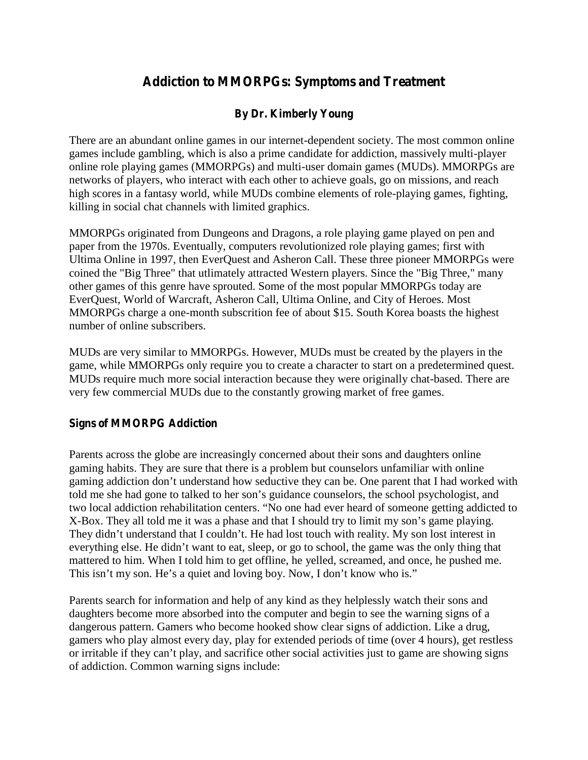# **Addiction to MMORPGs: Symptoms and Treatment**

## **By Dr. Kimberly Young**

There are an abundant online games in our internet-dependent society. The most common online games include gambling, which is also a prime candidate for addiction, massively multi-player online role playing games (MMORPGs) and multi-user domain games (MUDs). MMORPGs are networks of players, who interact with each other to achieve goals, go on missions, and reach high scores in a fantasy world, while MUDs combine elements of role-playing games, fighting, killing in social chat channels with limited graphics.

MMORPGs originated from Dungeons and Dragons, a role playing game played on pen and paper from the 1970s. Eventually, computers revolutionized role playing games; first with Ultima Online in 1997, then EverQuest and Asheron Call. These three pioneer MMORPGs were coined the "Big Three" that utlimately attracted Western players. Since the "Big Three," many other games of this genre have sprouted. Some of the most popular MMORPGs today are EverQuest, World of Warcraft, Asheron Call, Ultima Online, and City of Heroes. Most MMORPGs charge a one-month subscrition fee of about \$15. South Korea boasts the highest number of online subscribers.

MUDs are very similar to MMORPGs. However, MUDs must be created by the players in the game, while MMORPGs only require you to create a character to start on a predetermined quest. MUDs require much more social interaction because they were originally chat-based. There are very few commercial MUDs due to the constantly growing market of free games.

#### **Signs of MMORPG Addiction**

Parents across the globe are increasingly concerned about their sons and daughters online gaming habits. They are sure that there is a problem but counselors unfamiliar with online gam ing addiction don't understand how seductive they can be. One parent that I had w orked with told m e she had gone to talked to her son's guidance counselors, the school psychologist, and tw o local addiction reh ab ilitation centers. "N o one had ever heard of someone getting addicted to  $X-B$  ox. They all told  $m \in \mathbb{N}$  it w as a phase and that I should try to limit  $m \times$  son's game playing. They didn't understand that I couldn't. He had lost touch w ith reality. My son lost interest in everything else. He didn't w ant to eat, sleep, or go to school, the game w as the only thing that mattered to him. When I told him to get offline, he yelled, screamed, and once, he pushed me. This isn't m y son. H e's a quiet and loving boy. N ow, I don't know who is."

Parents search for information and help of any kind as they helplessly watch their sons and daughters become more absorbed into the computer and begin to see the warning signs of a dangerous pattern. Gamers who become hooked show clear signs of addiction. Like a drug, gamers who play almost every day, play for extended periods of time (over 4 hours), get restless or irritable if they can't play, and sacrifice other social activities just to game are show ing signs of addiction. Common warning signs include: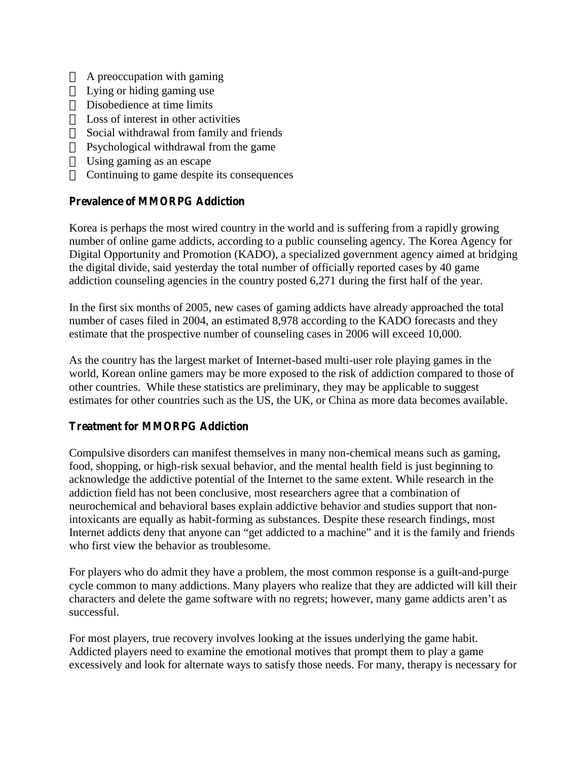A preoccupation with gaming Lying or hiding gaming use Disobedience at time limits Loss of interest in other activities Social withdrawal from family and friends Psychological withdrawal from the game Using gaming as an escape Continuing to game despite its consequences

### **Prevalence of MMORPG Addiction**

Korea is perhaps the most wired country in the world and is suffering from a rapidly growing number of online game addicts, according to a public counseling agency. The Korea Agency for Digital Opportunity and Promotion (KADO), a specialized government agency aimed at bridging the digital divide, said yesterday the total number of officially reported cases by 40 game addiction counseling agencies in the country posted 6,271 during the first half of the year.

In the first six months of 2005, new cases of gaming addicts have already approached the total number of cases filed in 2004, an estimated 8,978 according to the KADO forecasts and they estimate that the prospective number of counseling cases in 2006 will exceed 10,000.

As the country has the largest market of Internet-based multi-user role playing games in the world, Korean online gamers may be more exposed to the risk of addiction compared to those of other countries. While these statistics are preliminary, they may be applicable to suggest estimates for other countries such as the US, the UK, or China as more data becomes available.

#### **Treatment for MMORPG Addiction**

Compulsive disorders can manifest themselves in many non-chemical means such as gaming, food, shopping, or high-risk sexual behavior, and the mental health field is just beginning to acknowledge the addictive potential of the Internet to the same extent. While research in the addiction field has not been conclusive, most researchers agree that a combination of neurochemical and behavioral bases explain addictive behavior and studies support that nonintoxicants are equally as habit-forming as substances. Despite these research findings, most Internet addicts deny that anyone can "get addicted to a m achine" and it is the fam ily and friends who first view the behavior as troublesome.

For players who do admit they have a problem, the most common response is a guilt-and-purge cycle common to many addictions. Many players who realize that they are addicted will kill their characters and delete the gam e softw are w ith no regrets; how ever, m any gam e addicts aren't as successful.

For most players, true recovery involves looking at the issues underlying the game habit. Addicted players need to examine the emotional motives that prompt them to play a game excessively and look for alternate ways to satisfy those needs. For many, therapy is necessary for